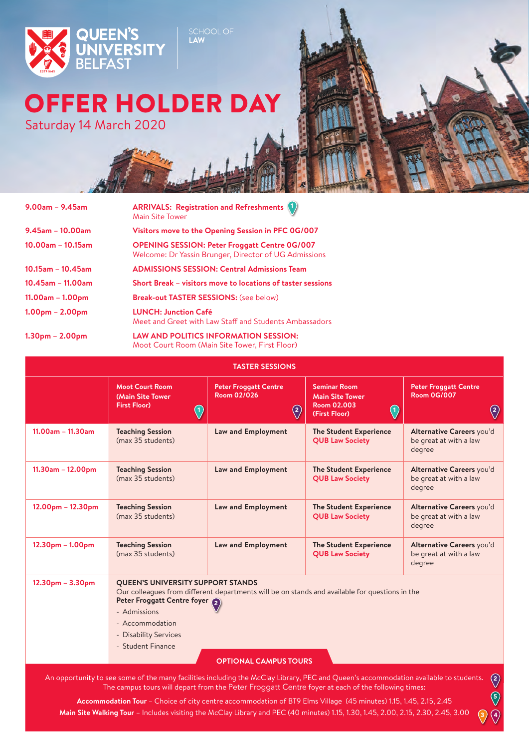

## OFFER HOLDER DAY

Saturday 14 March 2020



 $\circled{4}$ 

 $\bigcirc$ 

| $9.00$ am – $9.45$ am   | <b>ARRIVALS: Registration and Refreshments 1</b><br><b>Main Site Tower</b>                                    |
|-------------------------|---------------------------------------------------------------------------------------------------------------|
| $9.45$ am - 10.00am     | Visitors move to the Opening Session in PFC 0G/007                                                            |
| $10.00$ am – $10.15$ am | <b>OPENING SESSION: Peter Froggatt Centre 0G/007</b><br>Welcome: Dr Yassin Brunger, Director of UG Admissions |
| $10.15$ am - $10.45$ am | <b>ADMISSIONS SESSION: Central Admissions Team</b>                                                            |
| $10.45$ am - 11.00am    | Short Break – visitors move to locations of taster sessions                                                   |
| $11.00am - 1.00pm$      | <b>Break-out TASTER SESSIONS: (see below)</b>                                                                 |
| $1.00pm - 2.00pm$       | <b>LUNCH: Junction Café</b><br>Meet and Greet with Law Staff and Students Ambassadors                         |
| $1.30pm - 2.00pm$       | <b>LAW AND POLITICS INFORMATION SESSION:</b>                                                                  |

Moot Court Room (Main Site Tower, First Floor)

SCHOOL OF

| <b>TASTER SESSIONS</b> |                                                                                                                                                                                                                                           |                                                                                                                                |                                                                                                                      |                                                                      |  |
|------------------------|-------------------------------------------------------------------------------------------------------------------------------------------------------------------------------------------------------------------------------------------|--------------------------------------------------------------------------------------------------------------------------------|----------------------------------------------------------------------------------------------------------------------|----------------------------------------------------------------------|--|
|                        | <b>Moot Court Room</b><br>(Main Site Tower<br><b>First Floor)</b><br>$\left\langle \!\!{\,}^{\mathop{}\limits_{}}_{\mathop{}\limits^{}}\right. \! \right.$                                                                                | <b>Peter Froggatt Centre</b><br>Room 02/026<br>$\left\langle \!\!{\,}^{\,}_{\,}\right\rangle$                                  | <b>Seminar Room</b><br><b>Main Site Tower</b><br><b>Room 02.003</b><br>$\left\langle \right\rangle$<br>(First Floor) | <b>Peter Froggatt Centre</b><br><b>Room 0G/007</b><br>$\binom{2}{ }$ |  |
| $11.00am - 11.30am$    | <b>Teaching Session</b><br>(max 35 students)                                                                                                                                                                                              | Law and Employment                                                                                                             | <b>The Student Experience</b><br><b>QUB Law Society</b>                                                              | Alternative Careers you'd<br>be great at with a law<br>degree        |  |
| 11.30am - 12.00pm      | <b>Teaching Session</b><br>(max 35 students)                                                                                                                                                                                              | Law and Employment                                                                                                             | <b>The Student Experience</b><br><b>QUB Law Society</b>                                                              | Alternative Careers you'd<br>be great at with a law<br>degree        |  |
| $12.00pm - 12.30pm$    | <b>Teaching Session</b><br>(max 35 students)                                                                                                                                                                                              | <b>Law and Employment</b>                                                                                                      | <b>The Student Experience</b><br><b>QUB Law Society</b>                                                              | Alternative Careers you'd<br>be great at with a law<br>degree        |  |
| $12.30pm - 1.00pm$     | <b>Teaching Session</b><br>(max 35 students)                                                                                                                                                                                              | Law and Employment                                                                                                             | <b>The Student Experience</b><br><b>QUB Law Society</b>                                                              | Alternative Careers you'd<br>be great at with a law<br>degree        |  |
| $12.30pm - 3.30pm$     | <b>QUEEN'S UNIVERSITY SUPPORT STANDS</b><br>Peter Froggatt Centre foyer 2<br>- Admissions<br>- Accommodation<br>- Disability Services<br>- Student Finance                                                                                | Our colleagues from different departments will be on stands and available for questions in the<br><b>OPTIONAL CAMPUS TOURS</b> |                                                                                                                      |                                                                      |  |
|                        | An opportunity to see some of the many facilities including the McClay Library, PEC and Queen's accommodation available to students.<br>The campus tours will depart from the Peter Erograft Centre fover at each of the following times: |                                                                                                                                |                                                                                                                      | $\binom{2}{ }$                                                       |  |

An opportunity to see some of the many facilities including the McClay Library, PEC and Queen's accommodation available to students. The campus tours will depart from the Peter Froggatt Centre foyer at each of the following times:

**Accommodation Tour** – Choice of city centre accommodation of BT9 Elms Village (45 minutes) 1.15, 1.45, 2.15, 2.45 **Main Site Walking Tour** – Includes visiting the McClay Library and PEC (40 minutes) 1.15, 1.30, 1.45, 2.00, 2.15, 2.30, 2.45, 3.00